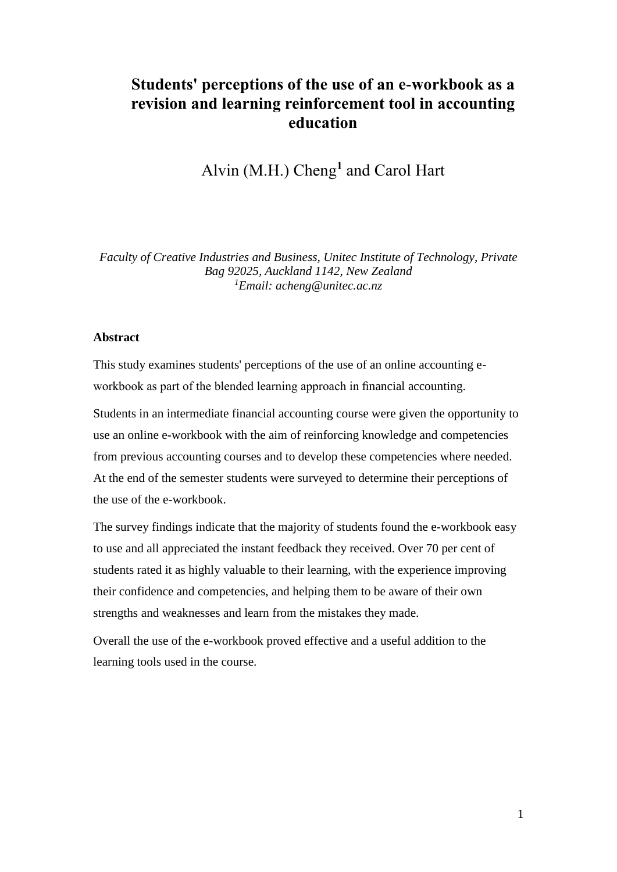# **Students' perceptions of the use of an e-workbook as a revision and learning reinforcement tool in accounting education**

Alvin (M.H.) Cheng**<sup>1</sup>** and Carol Hart

*Faculty of Creative Industries and Business, Unitec Institute of Technology, Private Bag 92025, Auckland 1142, New Zealand <sup>1</sup>Email: acheng@unitec.ac.nz*

#### **Abstract**

This study examines students' perceptions of the use of an online accounting eworkbook as part of the blended learning approach in financial accounting.

Students in an intermediate financial accounting course were given the opportunity to use an online e-workbook with the aim of reinforcing knowledge and competencies from previous accounting courses and to develop these competencies where needed. At the end of the semester students were surveyed to determine their perceptions of the use of the e-workbook.

The survey findings indicate that the majority of students found the e-workbook easy to use and all appreciated the instant feedback they received. Over 70 per cent of students rated it as highly valuable to their learning, with the experience improving their confidence and competencies, and helping them to be aware of their own strengths and weaknesses and learn from the mistakes they made.

Overall the use of the e-workbook proved effective and a useful addition to the learning tools used in the course.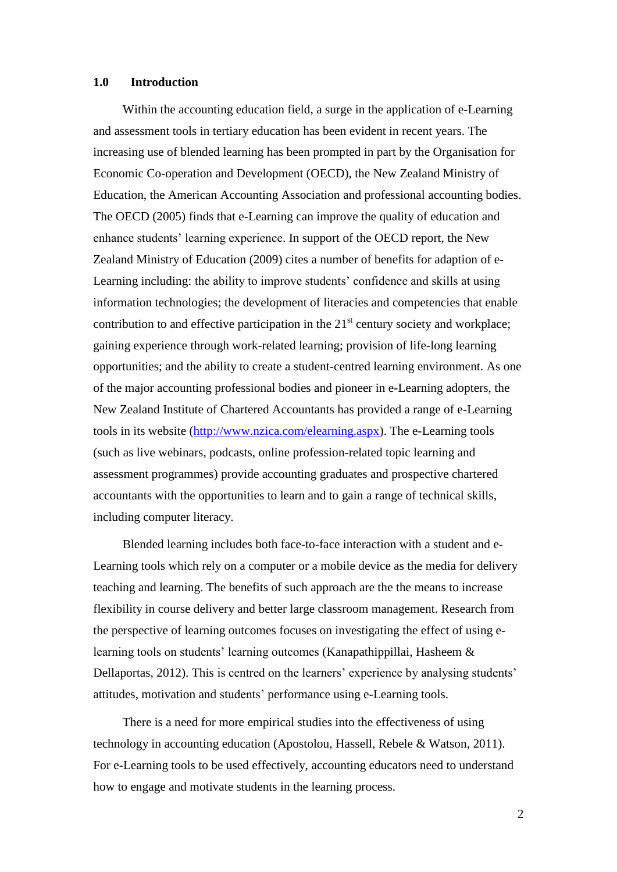#### **1.0 Introduction**

Within the accounting education field, a surge in the application of e-Learning and assessment tools in tertiary education has been evident in recent years. The increasing use of blended learning has been prompted in part by the Organisation for Economic Co-operation and Development (OECD), the New Zealand Ministry of Education, the American Accounting Association and professional accounting bodies. The OECD (2005) finds that e-Learning can improve the quality of education and enhance students' learning experience. In support of the OECD report, the New Zealand Ministry of Education (2009) cites a number of benefits for adaption of e-Learning including: the ability to improve students' confidence and skills at using information technologies; the development of literacies and competencies that enable contribution to and effective participation in the  $21<sup>st</sup>$  century society and workplace; gaining experience through work-related learning; provision of life-long learning opportunities; and the ability to create a student-centred learning environment. As one of the major accounting professional bodies and pioneer in e-Learning adopters, the New Zealand Institute of Chartered Accountants has provided a range of e-Learning tools in its website [\(http://www.nzica.com/elearning.aspx\)](http://www.nzica.com/elearning.aspx). The e-Learning tools (such as live webinars, podcasts, online profession-related topic learning and assessment programmes) provide accounting graduates and prospective chartered accountants with the opportunities to learn and to gain a range of technical skills, including computer literacy.

Blended learning includes both face-to-face interaction with a student and e-Learning tools which rely on a computer or a mobile device as the media for delivery teaching and learning. The benefits of such approach are the the means to increase flexibility in course delivery and better large classroom management. Research from the perspective of learning outcomes focuses on investigating the effect of using elearning tools on students' learning outcomes (Kanapathippillai, Hasheem & Dellaportas, 2012). This is centred on the learners' experience by analysing students' attitudes, motivation and students' performance using e-Learning tools.

There is a need for more empirical studies into the effectiveness of using technology in accounting education (Apostolou, Hassell, Rebele & Watson, 2011). For e-Learning tools to be used effectively, accounting educators need to understand how to engage and motivate students in the learning process.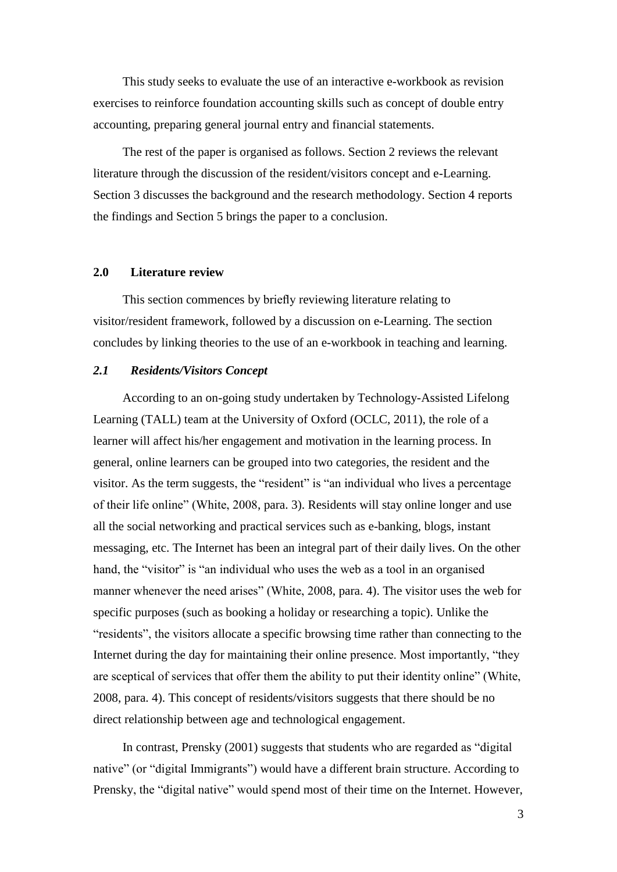This study seeks to evaluate the use of an interactive e-workbook as revision exercises to reinforce foundation accounting skills such as concept of double entry accounting, preparing general journal entry and financial statements.

The rest of the paper is organised as follows. Section 2 reviews the relevant literature through the discussion of the resident/visitors concept and e-Learning. Section 3 discusses the background and the research methodology. Section 4 reports the findings and Section 5 brings the paper to a conclusion.

### **2.0 Literature review**

This section commences by briefly reviewing literature relating to visitor/resident framework, followed by a discussion on e-Learning. The section concludes by linking theories to the use of an e-workbook in teaching and learning.

### *2.1 Residents/Visitors Concept*

According to an on-going study undertaken by Technology-Assisted Lifelong Learning (TALL) team at the University of Oxford (OCLC, 2011), the role of a learner will affect his/her engagement and motivation in the learning process. In general, online learners can be grouped into two categories, the resident and the visitor. As the term suggests, the "resident" is "an individual who lives a percentage of their life online" (White, 2008, para. 3). Residents will stay online longer and use all the social networking and practical services such as e-banking, blogs, instant messaging, etc. The Internet has been an integral part of their daily lives. On the other hand, the "visitor" is "an individual who uses the web as a tool in an organised manner whenever the need arises" (White, 2008, para. 4). The visitor uses the web for specific purposes (such as booking a holiday or researching a topic). Unlike the "residents", the visitors allocate a specific browsing time rather than connecting to the Internet during the day for maintaining their online presence. Most importantly, "they are sceptical of services that offer them the ability to put their identity online" (White, 2008, para. 4). This concept of residents/visitors suggests that there should be no direct relationship between age and technological engagement.

In contrast, Prensky (2001) suggests that students who are regarded as "digital native" (or "digital Immigrants") would have a different brain structure. According to Prensky, the "digital native" would spend most of their time on the Internet. However,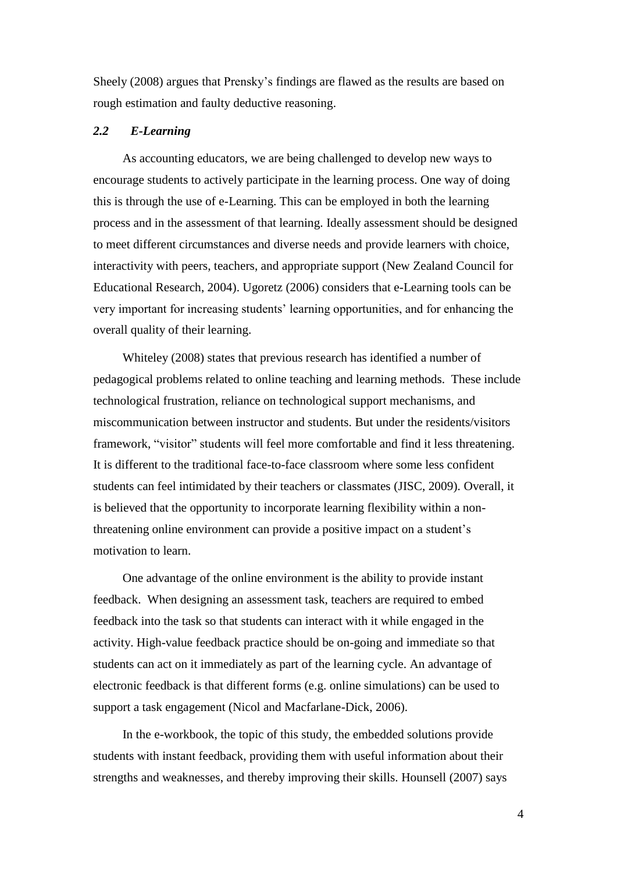Sheely (2008) argues that Prensky's findings are flawed as the results are based on rough estimation and faulty deductive reasoning.

#### *2.2 E-Learning*

As accounting educators, we are being challenged to develop new ways to encourage students to actively participate in the learning process. One way of doing this is through the use of e-Learning. This can be employed in both the learning process and in the assessment of that learning. Ideally assessment should be designed to meet different circumstances and diverse needs and provide learners with choice, interactivity with peers, teachers, and appropriate support (New Zealand Council for Educational Research, 2004). Ugoretz (2006) considers that e-Learning tools can be very important for increasing students' learning opportunities, and for enhancing the overall quality of their learning.

Whiteley (2008) states that previous research has identified a number of pedagogical problems related to online teaching and learning methods. These include technological frustration, reliance on technological support mechanisms, and miscommunication between instructor and students. But under the residents/visitors framework, "visitor" students will feel more comfortable and find it less threatening. It is different to the traditional face-to-face classroom where some less confident students can feel intimidated by their teachers or classmates (JISC, 2009). Overall, it is believed that the opportunity to incorporate learning flexibility within a nonthreatening online environment can provide a positive impact on a student's motivation to learn.

One advantage of the online environment is the ability to provide instant feedback. When designing an assessment task, teachers are required to embed feedback into the task so that students can interact with it while engaged in the activity. High-value feedback practice should be on-going and immediate so that students can act on it immediately as part of the learning cycle. An advantage of electronic feedback is that different forms (e.g. online simulations) can be used to support a task engagement (Nicol and Macfarlane-Dick, 2006).

In the e-workbook, the topic of this study, the embedded solutions provide students with instant feedback, providing them with useful information about their strengths and weaknesses, and thereby improving their skills. Hounsell (2007) says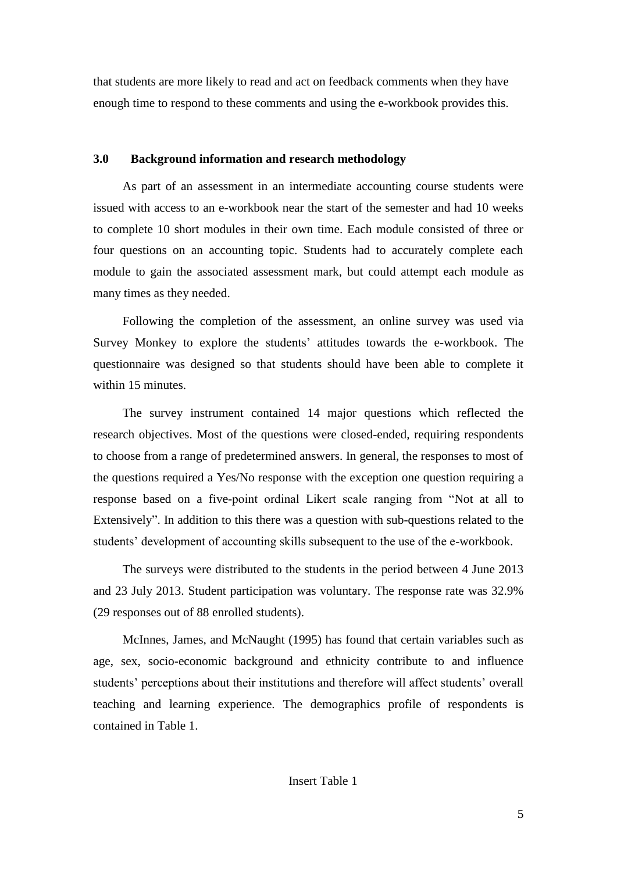that students are more likely to read and act on feedback comments when they have enough time to respond to these comments and using the e-workbook provides this.

## **3.0 Background information and research methodology**

As part of an assessment in an intermediate accounting course students were issued with access to an e-workbook near the start of the semester and had 10 weeks to complete 10 short modules in their own time. Each module consisted of three or four questions on an accounting topic. Students had to accurately complete each module to gain the associated assessment mark, but could attempt each module as many times as they needed.

Following the completion of the assessment, an online survey was used via Survey Monkey to explore the students' attitudes towards the e-workbook. The questionnaire was designed so that students should have been able to complete it within 15 minutes.

The survey instrument contained 14 major questions which reflected the research objectives. Most of the questions were closed-ended, requiring respondents to choose from a range of predetermined answers. In general, the responses to most of the questions required a Yes/No response with the exception one question requiring a response based on a five-point ordinal Likert scale ranging from "Not at all to Extensively". In addition to this there was a question with sub-questions related to the students' development of accounting skills subsequent to the use of the e-workbook.

The surveys were distributed to the students in the period between 4 June 2013 and 23 July 2013. Student participation was voluntary. The response rate was 32.9% (29 responses out of 88 enrolled students).

McInnes, James, and McNaught (1995) has found that certain variables such as age, sex, socio-economic background and ethnicity contribute to and influence students' perceptions about their institutions and therefore will affect students' overall teaching and learning experience. The demographics profile of respondents is contained in Table 1.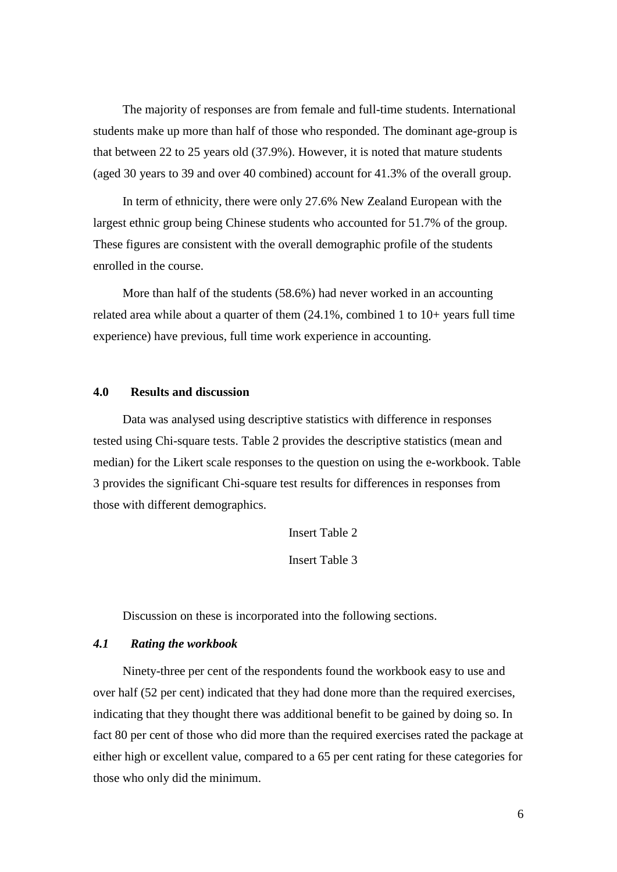The majority of responses are from female and full-time students. International students make up more than half of those who responded. The dominant age-group is that between 22 to 25 years old (37.9%). However, it is noted that mature students (aged 30 years to 39 and over 40 combined) account for 41.3% of the overall group.

In term of ethnicity, there were only 27.6% New Zealand European with the largest ethnic group being Chinese students who accounted for 51.7% of the group. These figures are consistent with the overall demographic profile of the students enrolled in the course.

More than half of the students (58.6%) had never worked in an accounting related area while about a quarter of them (24.1%, combined 1 to 10+ years full time experience) have previous, full time work experience in accounting.

# **4.0 Results and discussion**

Data was analysed using descriptive statistics with difference in responses tested using Chi-square tests. Table 2 provides the descriptive statistics (mean and median) for the Likert scale responses to the question on using the e-workbook. Table 3 provides the significant Chi-square test results for differences in responses from those with different demographics.

Insert Table 2

Insert Table 3

Discussion on these is incorporated into the following sections.

## *4.1 Rating the workbook*

Ninety-three per cent of the respondents found the workbook easy to use and over half (52 per cent) indicated that they had done more than the required exercises, indicating that they thought there was additional benefit to be gained by doing so. In fact 80 per cent of those who did more than the required exercises rated the package at either high or excellent value, compared to a 65 per cent rating for these categories for those who only did the minimum.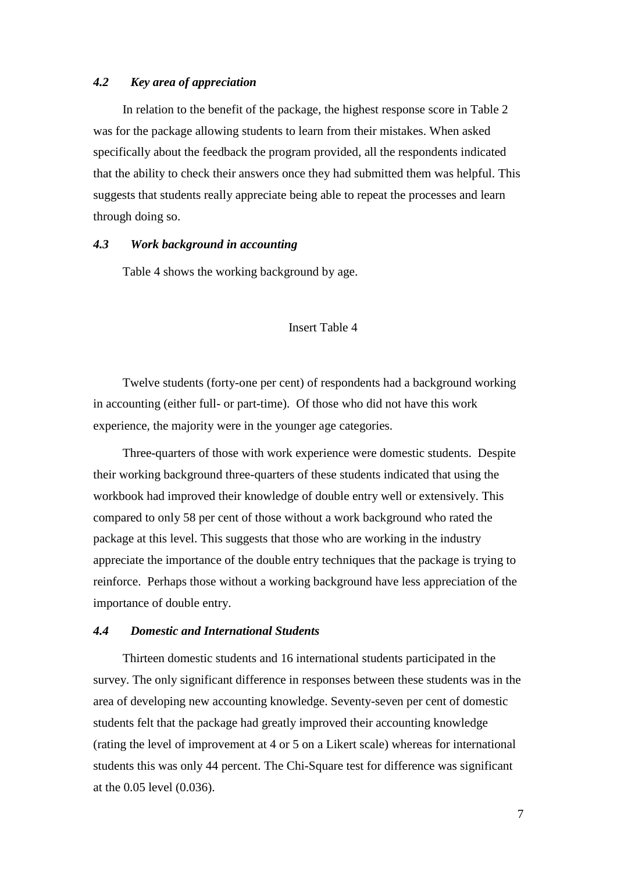### *4.2 Key area of appreciation*

In relation to the benefit of the package, the highest response score in Table 2 was for the package allowing students to learn from their mistakes. When asked specifically about the feedback the program provided, all the respondents indicated that the ability to check their answers once they had submitted them was helpful. This suggests that students really appreciate being able to repeat the processes and learn through doing so.

## *4.3 Work background in accounting*

Table 4 shows the working background by age.

### Insert Table 4

Twelve students (forty-one per cent) of respondents had a background working in accounting (either full- or part-time). Of those who did not have this work experience, the majority were in the younger age categories.

Three-quarters of those with work experience were domestic students. Despite their working background three-quarters of these students indicated that using the workbook had improved their knowledge of double entry well or extensively. This compared to only 58 per cent of those without a work background who rated the package at this level. This suggests that those who are working in the industry appreciate the importance of the double entry techniques that the package is trying to reinforce. Perhaps those without a working background have less appreciation of the importance of double entry.

### *4.4 Domestic and International Students*

Thirteen domestic students and 16 international students participated in the survey. The only significant difference in responses between these students was in the area of developing new accounting knowledge. Seventy-seven per cent of domestic students felt that the package had greatly improved their accounting knowledge (rating the level of improvement at 4 or 5 on a Likert scale) whereas for international students this was only 44 percent. The Chi-Square test for difference was significant at the 0.05 level (0.036).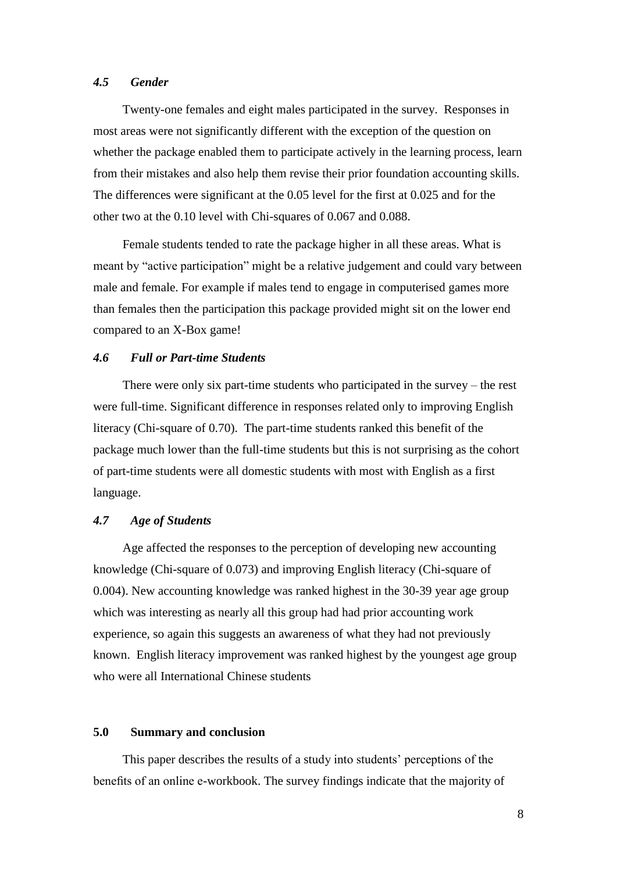#### *4.5 Gender*

Twenty-one females and eight males participated in the survey. Responses in most areas were not significantly different with the exception of the question on whether the package enabled them to participate actively in the learning process, learn from their mistakes and also help them revise their prior foundation accounting skills. The differences were significant at the 0.05 level for the first at 0.025 and for the other two at the 0.10 level with Chi-squares of 0.067 and 0.088.

Female students tended to rate the package higher in all these areas. What is meant by "active participation" might be a relative judgement and could vary between male and female. For example if males tend to engage in computerised games more than females then the participation this package provided might sit on the lower end compared to an X-Box game!

## *4.6 Full or Part-time Students*

There were only six part-time students who participated in the survey – the rest were full-time. Significant difference in responses related only to improving English literacy (Chi-square of 0.70). The part-time students ranked this benefit of the package much lower than the full-time students but this is not surprising as the cohort of part-time students were all domestic students with most with English as a first language.

#### *4.7 Age of Students*

Age affected the responses to the perception of developing new accounting knowledge (Chi-square of 0.073) and improving English literacy (Chi-square of 0.004). New accounting knowledge was ranked highest in the 30-39 year age group which was interesting as nearly all this group had had prior accounting work experience, so again this suggests an awareness of what they had not previously known. English literacy improvement was ranked highest by the youngest age group who were all International Chinese students

## **5.0 Summary and conclusion**

This paper describes the results of a study into students' perceptions of the benefits of an online e-workbook. The survey findings indicate that the majority of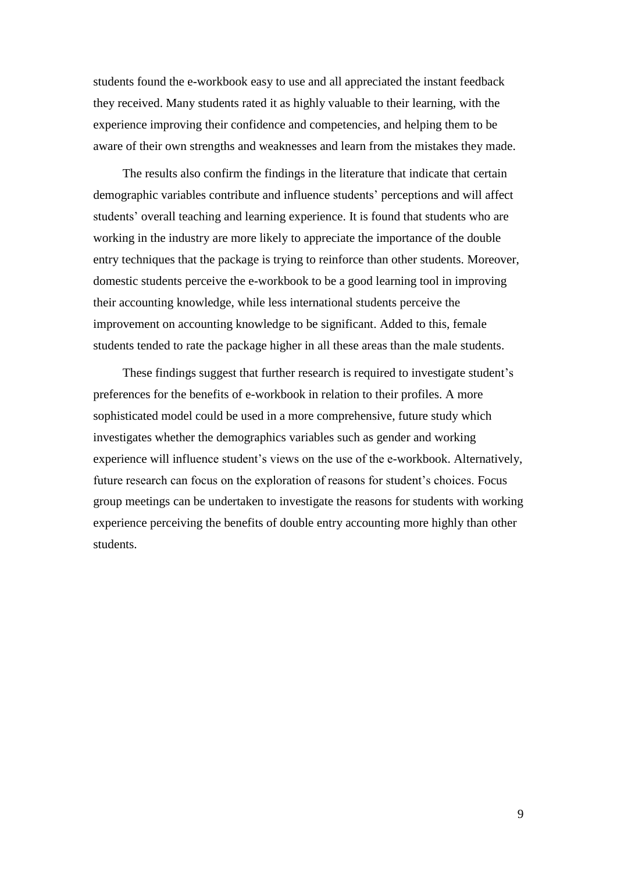students found the e-workbook easy to use and all appreciated the instant feedback they received. Many students rated it as highly valuable to their learning, with the experience improving their confidence and competencies, and helping them to be aware of their own strengths and weaknesses and learn from the mistakes they made.

The results also confirm the findings in the literature that indicate that certain demographic variables contribute and influence students' perceptions and will affect students' overall teaching and learning experience. It is found that students who are working in the industry are more likely to appreciate the importance of the double entry techniques that the package is trying to reinforce than other students. Moreover, domestic students perceive the e-workbook to be a good learning tool in improving their accounting knowledge, while less international students perceive the improvement on accounting knowledge to be significant. Added to this, female students tended to rate the package higher in all these areas than the male students.

These findings suggest that further research is required to investigate student's preferences for the benefits of e-workbook in relation to their profiles. A more sophisticated model could be used in a more comprehensive, future study which investigates whether the demographics variables such as gender and working experience will influence student's views on the use of the e-workbook. Alternatively, future research can focus on the exploration of reasons for student's choices. Focus group meetings can be undertaken to investigate the reasons for students with working experience perceiving the benefits of double entry accounting more highly than other students.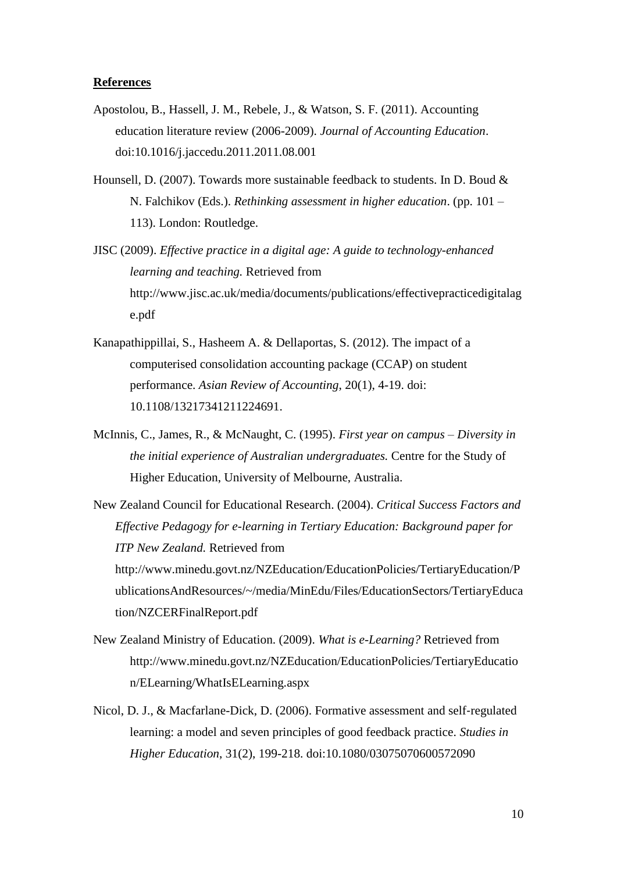### **References**

- Apostolou, B., Hassell, J. M., Rebele, J., & Watson, S. F. (2011). Accounting education literature review (2006-2009). *Journal of Accounting Education*. doi:10.1016/j.jaccedu.2011.2011.08.001
- Hounsell, D. (2007). Towards more sustainable feedback to students. In D. Boud  $\&$ N. Falchikov (Eds.). *Rethinking assessment in higher education*. (pp. 101 – 113). London: Routledge.
- JISC (2009). *Effective practice in a digital age: A guide to technology-enhanced learning and teaching.* Retrieved from http://www.jisc.ac.uk/media/documents/publications/effectivepracticedigitalag e.pdf
- Kanapathippillai, S., Hasheem A. & Dellaportas, S. (2012). The impact of a computerised consolidation accounting package (CCAP) on student performance. *Asian Review of Accounting*, 20(1), 4-19. doi: 10.1108/13217341211224691.
- McInnis, C., James, R., & McNaught, C. (1995). *First year on campus – Diversity in the initial experience of Australian undergraduates.* Centre for the Study of Higher Education, University of Melbourne, Australia.

New Zealand Council for Educational Research. (2004). *Critical Success Factors and Effective Pedagogy for e-learning in Tertiary Education: Background paper for ITP New Zealand.* Retrieved from http://www.minedu.govt.nz/NZEducation/EducationPolicies/TertiaryEducation/P ublicationsAndResources/~/media/MinEdu/Files/EducationSectors/TertiaryEduca tion/NZCERFinalReport.pdf

- New Zealand Ministry of Education. (2009). *What is e-Learning?* Retrieved from http://www.minedu.govt.nz/NZEducation/EducationPolicies/TertiaryEducatio n/ELearning/WhatIsELearning.aspx
- Nicol, D. J., & Macfarlane-Dick, D. (2006). Formative assessment and self‐regulated learning: a model and seven principles of good feedback practice. *Studies in Higher Education*, 31(2), 199-218. doi:10.1080/03075070600572090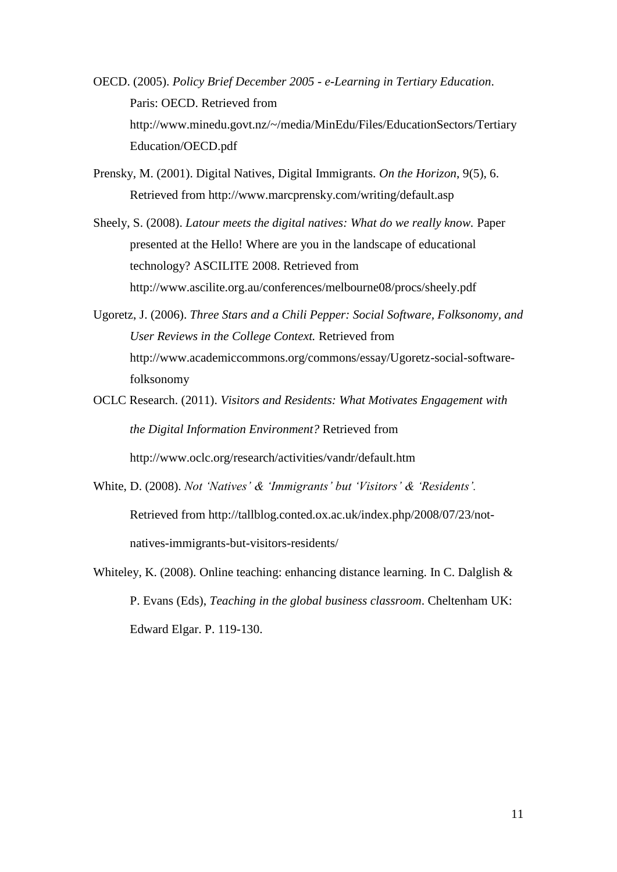- OECD. (2005). *Policy Brief December 2005 - e-Learning in Tertiary Education*. Paris: OECD. Retrieved from http://www.minedu.govt.nz/~/media/MinEdu/Files/EducationSectors/Tertiary Education/OECD.pdf
- Prensky, M. (2001). Digital Natives, Digital Immigrants. *On the Horizon*, 9(5), 6. Retrieved from http://www.marcprensky.com/writing/default.asp
- Sheely, S. (2008). *Latour meets the digital natives: What do we really know.* Paper presented at the Hello! Where are you in the landscape of educational technology? ASCILITE 2008. Retrieved from http://www.ascilite.org.au/conferences/melbourne08/procs/sheely.pdf
- Ugoretz, J. (2006). *Three Stars and a Chili Pepper: Social Software, Folksonomy, and User Reviews in the College Context.* Retrieved from http://www.academiccommons.org/commons/essay/Ugoretz-social-softwarefolksonomy
- OCLC Research. (2011). *Visitors and Residents: What Motivates Engagement with the Digital Information Environment?* Retrieved from http://www.oclc.org/research/activities/vandr/default.htm
- White, D. (2008). *Not 'Natives' & 'Immigrants' but 'Visitors' & 'Residents'.* Retrieved from http://tallblog.conted.ox.ac.uk/index.php/2008/07/23/notnatives-immigrants-but-visitors-residents/
- Whiteley, K. (2008). Online teaching: enhancing distance learning. In C. Dalglish & P. Evans (Eds), *Teaching in the global business classroom*. Cheltenham UK: Edward Elgar. P. 119-130.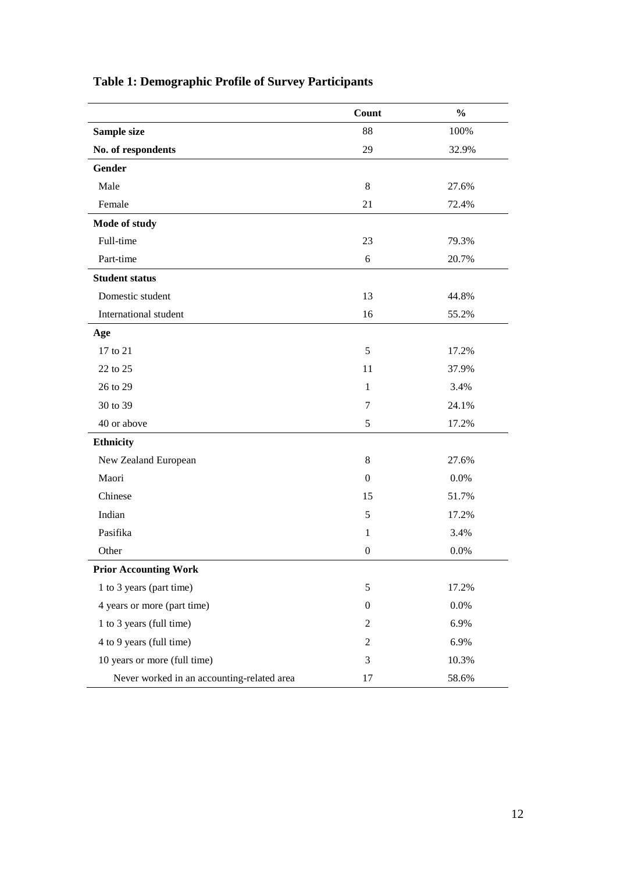|                                            | Count            | $\frac{0}{0}$ |
|--------------------------------------------|------------------|---------------|
| Sample size                                | 88               | 100%          |
| No. of respondents                         | 29               | 32.9%         |
| <b>Gender</b>                              |                  |               |
| Male                                       | $\,8\,$          | 27.6%         |
| Female                                     | 21               | 72.4%         |
| Mode of study                              |                  |               |
| Full-time                                  | 23               | 79.3%         |
| Part-time                                  | 6                | 20.7%         |
| <b>Student status</b>                      |                  |               |
| Domestic student                           | 13               | 44.8%         |
| International student                      | 16               | 55.2%         |
| Age                                        |                  |               |
| 17 to 21                                   | 5                | 17.2%         |
| 22 to 25                                   | 11               | 37.9%         |
| 26 to 29                                   | $\mathbf{1}$     | 3.4%          |
| 30 to 39                                   | 7                | 24.1%         |
| 40 or above                                | 5                | 17.2%         |
| <b>Ethnicity</b>                           |                  |               |
| New Zealand European                       | 8                | 27.6%         |
| Maori                                      | $\overline{0}$   | 0.0%          |
| Chinese                                    | 15               | 51.7%         |
| Indian                                     | 5                | 17.2%         |
| Pasifika                                   | $\mathbf{1}$     | 3.4%          |
| Other                                      | $\boldsymbol{0}$ | 0.0%          |
| <b>Prior Accounting Work</b>               |                  |               |
| 1 to 3 years (part time)                   | 5                | 17.2%         |
| 4 years or more (part time)                | $\boldsymbol{0}$ | 0.0%          |
| 1 to 3 years (full time)                   | $\overline{c}$   | 6.9%          |
| 4 to 9 years (full time)                   | 2                | 6.9%          |
| 10 years or more (full time)               | $\mathfrak{Z}$   | 10.3%         |
| Never worked in an accounting-related area | 17               | 58.6%         |

# **Table 1: Demographic Profile of Survey Participants**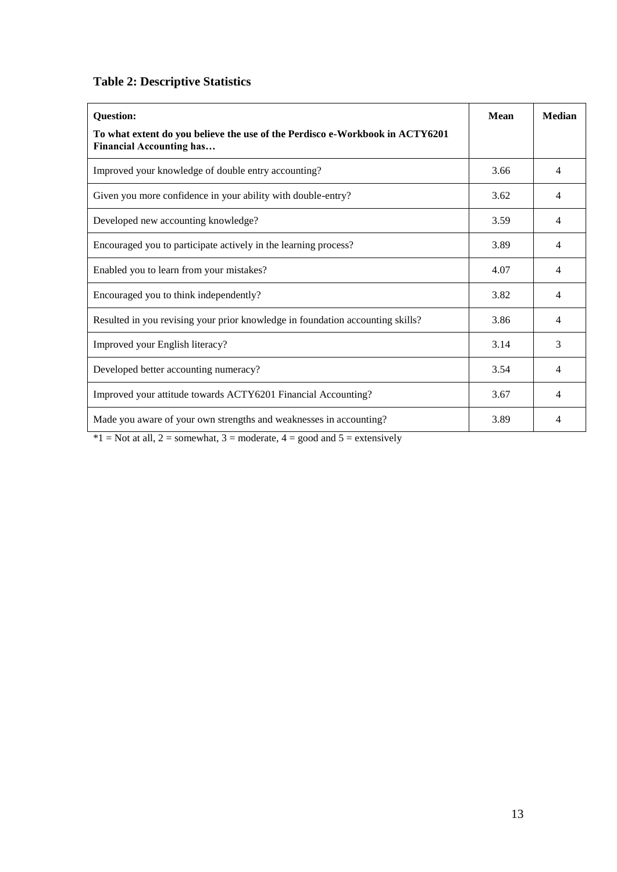# **Table 2: Descriptive Statistics**

| <b>Question:</b>                                                                                                | <b>Mean</b> | <b>Median</b>  |
|-----------------------------------------------------------------------------------------------------------------|-------------|----------------|
| To what extent do you believe the use of the Perdisco e-Workbook in ACTY6201<br><b>Financial Accounting has</b> |             |                |
| Improved your knowledge of double entry accounting?                                                             | 3.66        | 4              |
| Given you more confidence in your ability with double-entry?                                                    | 3.62        | 4              |
| Developed new accounting knowledge?                                                                             | 3.59        | 4              |
| Encouraged you to participate actively in the learning process?                                                 | 3.89        | $\overline{4}$ |
| Enabled you to learn from your mistakes?                                                                        | 4.07        | 4              |
| Encouraged you to think independently?                                                                          | 3.82        | 4              |
| Resulted in you revising your prior knowledge in foundation accounting skills?                                  | 3.86        | 4              |
| Improved your English literacy?                                                                                 | 3.14        | 3              |
| Developed better accounting numeracy?                                                                           | 3.54        | 4              |
| Improved your attitude towards ACTY6201 Financial Accounting?                                                   | 3.67        | 4              |
| Made you aware of your own strengths and weaknesses in accounting?                                              | 3.89        | 4              |

 $*1$  = Not at all, 2 = somewhat, 3 = moderate, 4 = good and 5 = extensively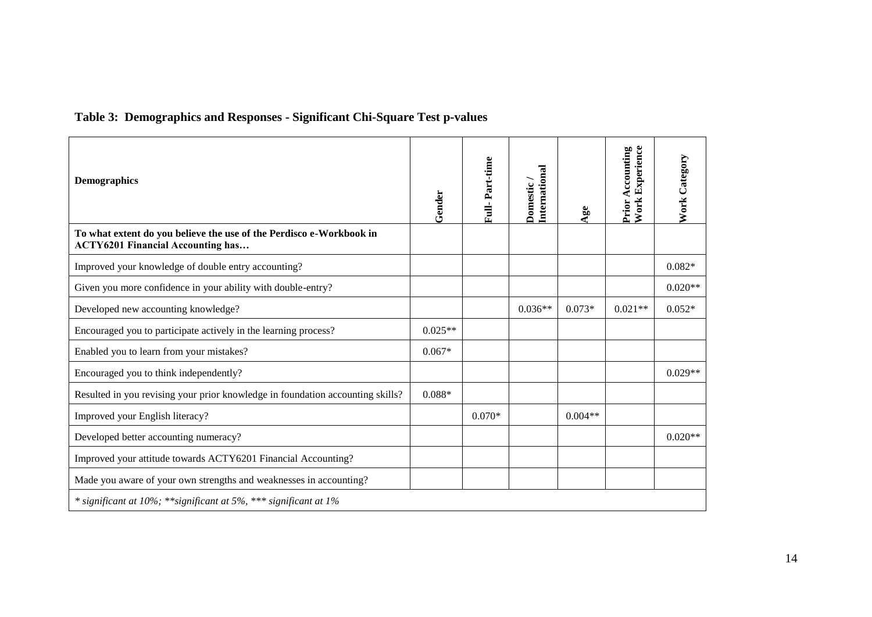# **Table 3: Demographics and Responses - Significant Chi-Square Test p-values**

| <b>Demographics</b>                                                                                             | $G$ ender | Full-Part-time | International<br>Domestic/ | $\mathbf{Age}$ | <b>Work Experience</b><br><b>Prior Accounting</b> | <b>Work Category</b> |
|-----------------------------------------------------------------------------------------------------------------|-----------|----------------|----------------------------|----------------|---------------------------------------------------|----------------------|
| To what extent do you believe the use of the Perdisco e-Workbook in<br><b>ACTY6201 Financial Accounting has</b> |           |                |                            |                |                                                   |                      |
| Improved your knowledge of double entry accounting?                                                             |           |                |                            |                |                                                   | $0.082*$             |
| Given you more confidence in your ability with double-entry?                                                    |           |                |                            |                |                                                   | $0.020**$            |
| Developed new accounting knowledge?                                                                             |           |                | $0.036**$                  | $0.073*$       | $0.021**$                                         | $0.052*$             |
| Encouraged you to participate actively in the learning process?                                                 | $0.025**$ |                |                            |                |                                                   |                      |
| Enabled you to learn from your mistakes?                                                                        | $0.067*$  |                |                            |                |                                                   |                      |
| Encouraged you to think independently?                                                                          |           |                |                            |                |                                                   | $0.029**$            |
| Resulted in you revising your prior knowledge in foundation accounting skills?                                  | $0.088*$  |                |                            |                |                                                   |                      |
| Improved your English literacy?                                                                                 |           | $0.070*$       |                            | $0.004**$      |                                                   |                      |
| Developed better accounting numeracy?                                                                           |           |                |                            |                |                                                   | $0.020**$            |
| Improved your attitude towards ACTY6201 Financial Accounting?                                                   |           |                |                            |                |                                                   |                      |
| Made you aware of your own strengths and weaknesses in accounting?                                              |           |                |                            |                |                                                   |                      |
| * significant at 10%; ** significant at 5%, *** significant at 1%                                               |           |                |                            |                |                                                   |                      |